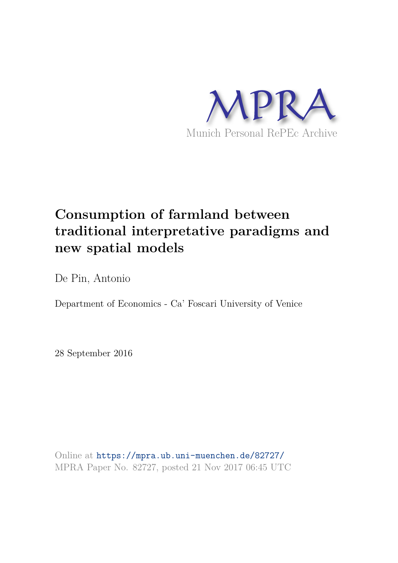

# **Consumption of farmland between traditional interpretative paradigms and new spatial models**

De Pin, Antonio

Department of Economics - Ca' Foscari University of Venice

28 September 2016

Online at https://mpra.ub.uni-muenchen.de/82727/ MPRA Paper No. 82727, posted 21 Nov 2017 06:45 UTC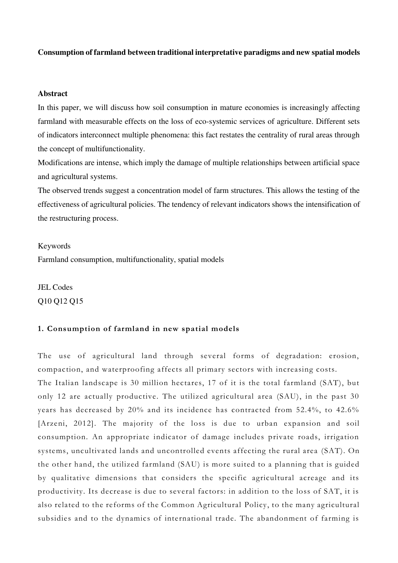# **Consumption of farmland between traditional interpretative paradigms and new spatial models**

#### **Abstract**

In this paper, we will discuss how soil consumption in mature economies is increasingly affecting farmland with measurable effects on the loss of eco-systemic services of agriculture. Different sets of indicators interconnect multiple phenomena: this fact restates the centrality of rural areas through the concept of multifunctionality.

Modifications are intense, which imply the damage of multiple relationships between artificial space and agricultural systems.

The observed trends suggest a concentration model of farm structures. This allows the testing of the effectiveness of agricultural policies. The tendency of relevant indicators shows the intensification of the restructuring process.

#### Keywords

Farmland consumption, multifunctionality, spatial models

JEL Codes Q10 Q12 Q15

# **1. Consumption of farmland in new spatial models**

The use of agricultural land through several forms of degradation: erosion, compaction, and waterproofing affects all primary sectors with increasing costs.

The Italian landscape is 30 million hectares, 17 of it is the total farmland (SAT), but only 12 are actually productive. The utilized agricultural area (SAU), in the past 30 years has decreased by 20% and its incidence has contracted from 52.4%, to 42.6% [Arzeni, 2012]. The majority of the loss is due to urban expansion and soil consumption. An appropriate indicator of damage includes private roads, irrigation systems, uncultivated lands and uncontrolled events affecting the rural area (SAT). On the other hand, the utilized farmland (SAU) is more suited to a planning that is guided by qualitative dimensions that considers the specific agricultural acreage and its productivity. Its decrease is due to several factors: in addition to the loss of SAT, it is also related to the reforms of the Common Agricultural Policy, to the many agricultural subsidies and to the dynamics of international trade. The abandonment of farming is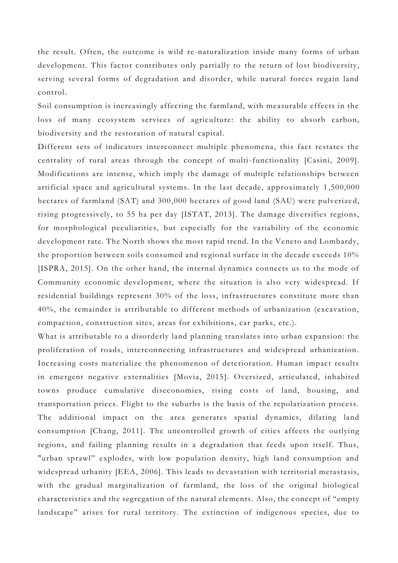the result. Often, the outcome is wild re -naturalization inside many forms of urban development. This factor contributes only partially to the return of lost biodiversity, serving several forms of degradation and disorder, while natural forces regain land control.

Soil consumption is increasingly affecting the farmland, with measurable effects in the loss of many ecosystem services of agriculture: the ability to absorb carbon, biodiversity and the restoration of natural capital.

Different sets of indicators interconnect multiple phenomena, this fact restates the centrality of rural areas through the concept of multi -functionality [Casini, 2009]. Modifications are intense, which imply the damage of multiple relationships between artificial space and agricultural systems. In the last decade, approximately 1 ,500,000 hectares of farmland (SAT) and 300,000 hectares of good land (SAU) were pulverize d, rising progressively, to 55 ha per day [ISTAT, 2013]. The damage diversifies regions, for morphological peculiarities, but especially for the variability of the economic development rate. The North shows the most rapid trend. In the Veneto and Lombardy, the proportion between soils consumed and regional surface in the decade exceeds 10% [ISPRA, 2015]. On the other hand, the internal dynamics connects us to the mode of Community economic development, where the situation is also very widespread. If residential buildings represent 30% of the loss, infrastructures constitute more than 40%, the remainder is attributable to different methods of urbanization (excavation, compaction, construction sites, areas for exhibitions, car parks, etc.).

What is attributable to a disorderly land planning translates into urban expansion: the proliferation of roads, interconnecting infrastructures and widespread urbanization. Increasing costs materialize the phenomenon of deterioration. Human impact results in emergent negative externalities [Movia, 2015]. Oversized, articulated, inhabited towns produce cumulative diseconomies, rising costs of land, housing, and transportation prices. Flight to the suburbs is the basis of the repolarization process. The additional impact on the area generates spatial dynamics, dilating land consumption [Chang, 2011]. The uncontrolled growth of cities affects the outlying regions, and failing planning results in a degradation that feeds upon itself. Thus, "urban sprawl" explodes, with low population density, high land consumption and widespread urbanity [EEA, 2006]. This leads to devastation with territorial metastasis, with the gradual marginalization of farmland, the loss of the original biological characteristics and the segregation of the natural elements. Also, the concept of "empty landscape" arises for rural territory. The extinction of indigenous species, due to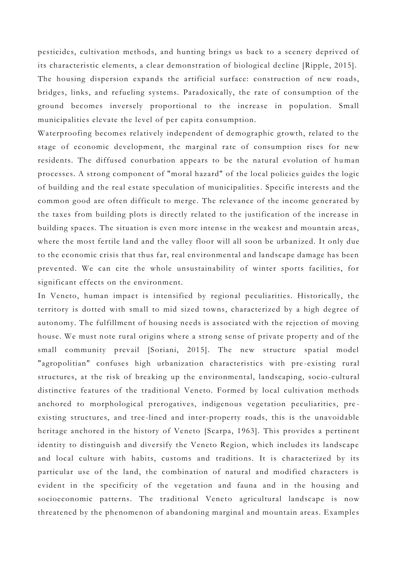pesticides, cultivation methods, and hunting brings us back to a scenery deprived of its characteristic elements, a clear demonstration of biological decline [Ripple, 2015]. The housing dispersion expands the artificial surface: construction of new roads, bridges, links, and refueling systems. Paradoxically, the rate of consumption of the ground becomes inversely proportional to the increase in population. Small municipalities elevate the level of per capita consumption.

Waterproofing becomes relatively independent of demographic growth, related to the stage of economic development, the marginal rate of consumption rises for new residents. The diffused conurbation appears to be the natural evolution of human processes. A strong component of "moral hazard" of the local policies guides the logic of building and the real estate speculation of municipalities . Specific interests and the common good are often difficult to merge . The relevance of the income generated by the taxes from building plots is directly related to the justification of the increase in building spaces. The situation is even more intense in the weakest and mountain areas, where the most fertile land and the valley floor will all soon be urban ized. It only due to the economic crisis that thus far, real environmental and landscape damage has been prevented. We can cite the whole unsustainability of winter sports facilities, for significant effects on the environment.

In Veneto, human impact is intensified by regional peculiarities. Historically, the territory is dotted with small to mid sized towns, characterized by a high degree of autonomy. The fulfillment of housing needs is associated with the rejection of moving house. We must note rural origins where a strong sense of private property and of the small community prevail [Soriani, 2015]. The new structure spatial model "agropolitian" confuses high urbanization characteristics with pre -existing rural structures, at the risk of breaking up the environmental, landscaping, socio-cultural distinctive features of the traditional Veneto. Formed by local cultivation methods anchored to morphological prerogatives, indigenous vegetation peculiarities, pre existing structures, and tree -lined and inter-property roads, this is the unavoidable heritage anchored in the history of Veneto [Scarpa, 1963]. This provides a pertinent identity to distinguish and diversify the Veneto Region, which includes its landscape and local culture with habits, customs and traditions. It is characterized by its particular use of the land, the combination of natural and modified characters is evident in the specificity of the vegetation and fauna and in the housing and socioeconomic patterns. The traditional Veneto agricultural landscape is now threatened by the phenomenon of abandoning marginal and mountain areas. Examples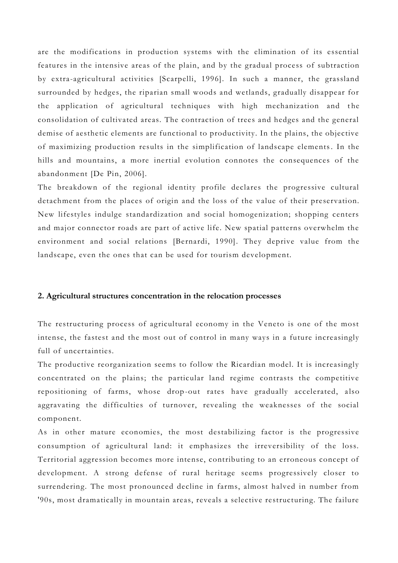are the modifications in production systems with the elimination of its essential features in the intensive areas of the plain, and by the gradual process of subtraction by extra-agricultural activities [Scarpelli, 1996]. In such a manner, the grassland surrounded by hedges, the riparian small woods and wetlands, gradually disappear for the application of agricultural techniques with high mechanization and the consolidation of cultivated areas. The contraction of trees and hedges and the general demise of aesthetic elements are functional to productivity. In the plains, the objective of maximizing production results in the simplification of landscape elements . In the hills and mountains, a more inertial evolution connotes the consequences of the abandonment [De Pin, 2006].

The breakdown of the regional identity profile declares the progressive cultural detachment from the places of origin and the loss of the value of their preservation. New lifestyles indulge standardization and social homogenization; shopping centers and major connector roads are part of active life. New spatial patterns overwhelm the environment and social relations [Bernardi, 1990]. They deprive value from the landscape, even the ones that can be used for tourism development.

### **2. Agricultural structures concentration in the relocation processes**

The restructuring process of agricultural economy in the Veneto is one of the most intense, the fastest and the most out of control in many ways in a future increasingly full of uncertainties.

The productive reorganization seems to follow the Ricardian model. It is increasingly concentrated on the plains; the particular land regime contrasts the competitive repositioning of farms, whose drop-out rates have gradually accelerated, also aggravating the difficulties of turnover, revealing the weaknesses of the social component.

As in other mature economies, the most destabilizing factor is the progressive consumption of agricultural land: it emphasizes the irreversibility of the loss. Territorial aggression becomes more intense, contributing to an erroneous concept of development. A strong defense of rural heritage seems progressively closer to surrendering. The most pronounced decline in farms, almost halved in number from '90s, most dramatically in mountain areas, reveals a selective restructuring. The failure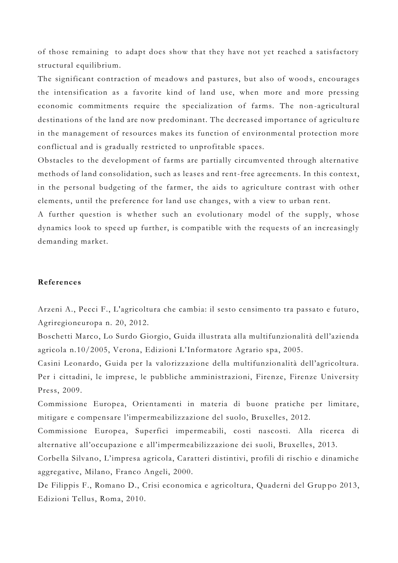of those remaining to adapt does show that they have not yet reached a satisfactory structural equilibrium.

The significant contraction of meadows and pastures, but also of woods, encourages the intensification as a favorite kind of land use, when more and more pressing economic commitments require the specialization of farms. The non -agricultural destinations of the land are now predominant. The decreased importance of agricultu re in the management of resources makes its function of environmental protection more conflictual and is gradually restricted to unprofitable spaces.

Obstacles to the development of farms are partially circumvented through alternative methods of land consolidation, such as leases and rent-free agreements. In this context, in the personal budgeting of the farmer, the aids to agriculture contrast with other elements, until the preference for land use changes, with a view to urban rent.

A further question is whether such an evolutionary model of the supply, whose dynamics look to speed up further, is compatible with the requests of an increasingly demanding market.

# **References**

Arzeni A., Pecci F., L'agricoltura che cambia: il sesto censimento tra passato e futuro, Agriregioneuropa n. 20, 2012.

Boschetti Marco, Lo Surdo Giorgio, Guida illustrata alla multifunzionalità dell'azienda agricola n.10/2005, Verona, Edizioni L'Informatore Agrario spa, 2005.

Casini Leonardo, Guida per la valorizzazione della multifunzionalità dell'agricoltura. Per i cittadini, le imprese, le pubbliche amministrazioni, Firenze, Firenze University Press, 2009.

Commissione Europea, Orientamenti in materia di buone pratiche per limitare, mitigare e compensare l'impermeabilizzazione del suolo, Bruxelles, 2012.

Commissione Europea, Superfici impermeabili, costi nascosti. Alla ricerca di alternative all'occupazione e all'impermeabilizzazione dei suoli, Bruxelles, 2013.

Corbella Silvano, L'impresa agricola, Caratteri distintivi, profili di rischio e dinamiche aggregative, Milano, Franco Angeli, 2000.

De Filippis F., Romano D., Crisi economica e agricoltura, Quaderni del Grup po 2013, Edizioni Tellus, Roma, 2010.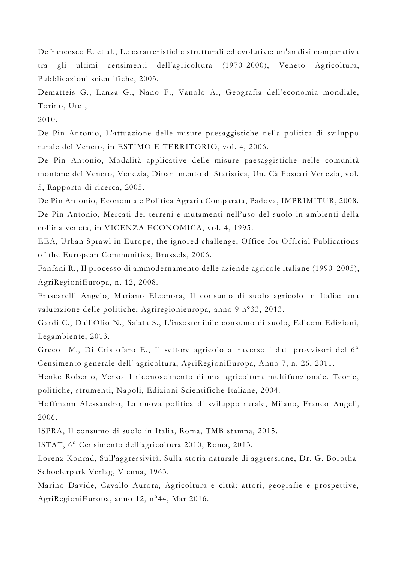Defrancesco E. et al., Le caratteristiche strutturali ed evolutive: un'analisi comparativa tra gli ultimi censimenti dell'agricoltura (1970 -2000), Veneto Agricoltura, Pubblicazioni scientifiche, 2003.

Dematteis G., Lanza G., Nano F., Vanolo A., Geografia dell'economia mondiale, Torino, Utet,

2010.

De Pin Antonio, L'attuazione delle misure paesaggistiche nella politica di sviluppo rurale del Veneto, in ESTIMO E TERRITORIO, vol. 4, 2006.

De Pin Antonio, Modalità applicative delle misure paesaggistiche nelle comunità montane del Veneto, Venezia, Dipartimento di Statistica, Un. Cà Foscari Venezia, vol. 5, Rapporto di ricerca, 2005.

De Pin Antonio, Economia e Politica Agraria Comparata, Padova, IMPRIMITUR, 2008. De Pin Antonio, Mercati dei terreni e mutamenti nell'uso del suolo in ambienti della collina veneta, in VICENZA ECONOMICA, vol. 4, 1995.

EEA, Urban Sprawl in Europe, the ignored challenge, Office for Official Publications of the European Communities, Brussels, 20 06.

Fanfani R., Il processo di ammodernamento delle aziende agricole italiane (1990 -2005), AgriRegioniEuropa, n. 12, 2008.

Frascarelli Angelo, Mariano Eleonora, Il consumo di suolo agricolo in Italia: una valutazione delle politiche, Agriregionieuropa, anno 9 n°33, 2013.

Gardi C., Dall'Olio N., Salata S., L'insostenibile consumo di suolo, Edicom Edizioni, Legambiente, 2013.

Greco M., Di Cristofaro E., Il settore agricolo attraverso i dati provvisori del 6° Censimento generale dell' agricoltura, AgriRegioniEuropa, Anno 7, n. 26, 2011.

Henke Roberto, Verso il riconoscimento di una agricoltura multifunzionale. Teorie, politiche, strumenti, Napoli, Edizioni Scientifiche Italiane, 2004.

Hoffmann Alessandro, La nuova politica di sviluppo rurale, Milano, Franco Angeli, 2006.

ISPRA, Il consumo di suolo in Italia, Roma, TMB stampa, 2015.

ISTAT, 6° Censimento dell'agricoltura 2010, Roma, 2013.

Lorenz Konrad, Sull'aggressività. Sulla storia naturale di aggressione, Dr. G. Borotha-Schoelerpark Verlag, Vienna, 1963.

Marino Davide, Cavallo Aurora, Agricoltura e città: attori, geografie e prospettive, AgriRegioniEuropa, anno 12, n°44, Mar 2016.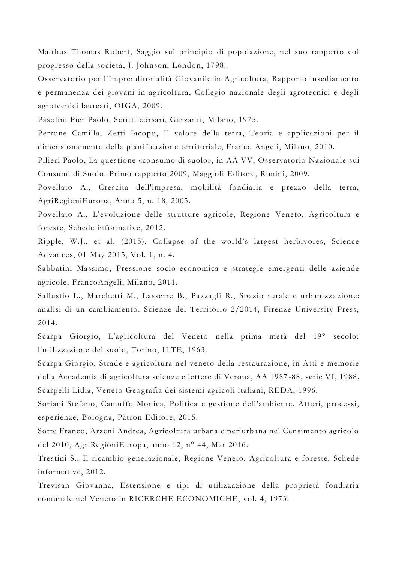Malthus Thomas Robert, Saggio sul principio di popolazione, nel suo rapporto col progresso della società, J. Johnson, London, 1798.

Osservatorio per l'Imprenditorialità Giovanile in Agricoltura, Rapporto insediamento e permanenza dei giovani in agricoltura, Collegio nazionale degli agrotecnici e degli agrotecnici laureati, OIGA, 2009.

Pasolini Pier Paolo, Scritti corsari, Garzanti, Milano, 1975.

Perrone Camilla, Zetti Iacopo, Il valore della terra, Teoria e applicazioni per il dimensionamento della pianificazione territoriale, Franco Angeli, Milano, 2010.

Pilieri Paolo, La questione «consumo di suolo», in AA VV, Osservatorio Naziona le sui Consumi di Suolo. Primo rapporto 2009, Maggioli Editore, Rimini, 2009.

Povellato A., Crescita dell'impresa, mobilità fondiaria e prezzo della terra, AgriRegioniEuropa, Anno 5, n. 18, 2005.

Povellato A., L'evoluzione delle strutture agricole, Regione Veneto, Agricoltura e foreste, Schede informative, 2012.

Ripple, W.J., et al. (2015), Collapse of the world's largest herbivores, Science Advances, 01 May 2015, Vol. 1, n. 4.

Sabbatini Massimo, Pressione socio -economica e strategie emergenti delle aziende agricole, FrancoAngeli, Milano, 2011.

Sallustio L., Marchetti M., Lasserre B., Pazzagli R., Spazio rurale e urbanizza zione: analisi di un cambiamento. Scienze del Territorio 2/2014, Firenze University Press, 2014.

Scarpa Giorgio, L'agricoltura del Veneto nella prima metà del 19° secolo: l'utilizzazione del suolo, Torino, ILTE, 1963.

Scarpa Giorgio, Strade e agricoltura nel veneto della restaurazione, in Atti e memorie della Accademia di agricoltura scienze e lettere di Verona, AA 1987 -88, serie VI, 1988. Scarpelli Lidia, Veneto Geografia dei sistemi agricoli italiani, REDA, 1996.

Soriani Stefano, Camuffo Monica, Politica e gestione dell'ambiente. Attori, processi, esperienze, Bologna, Pàtron Editore, 2015.

Sotte Franco, Arzeni Andrea, Agricoltura urbana e periurbana nel Censimento agricolo del 2010, AgriRegioniEuropa, anno 12, n° 44, Mar 2016.

Trestini S., Il ricambio generazionale, Regione Veneto, Agricoltura e foreste, Schede informative, 2012.

Trevisan Giovanna, Estensione e tipi di utilizzazione della proprietà fondiaria comunale nel Veneto in RICERCHE ECONOMICHE, vol. 4, 1973.